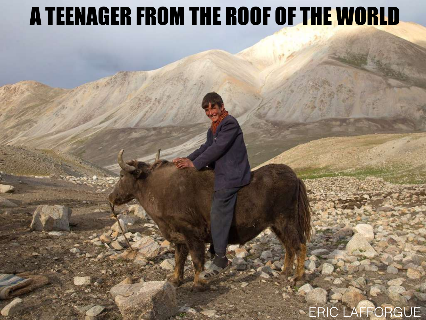## A TEENAGER FROM THE ROOF OF THE WORLD

## ERIC LAFFORGUE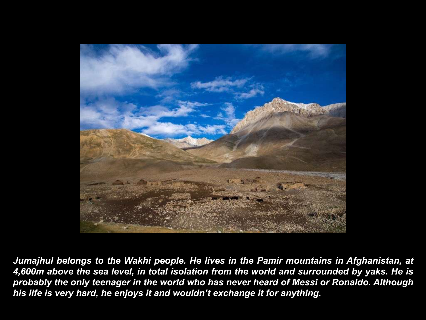

Jumajhul belongs to the Wakhi people. He lives in the Pamir mountains in Afghanistan, at *4,600m above the sea level, in total isolation from the world and surrounded by yaks. He is probably the only teenager in the world who has never heard of Messi or Ronaldo. Although his life is very hard, he enjoys it and wouldn't exchange it for anything.*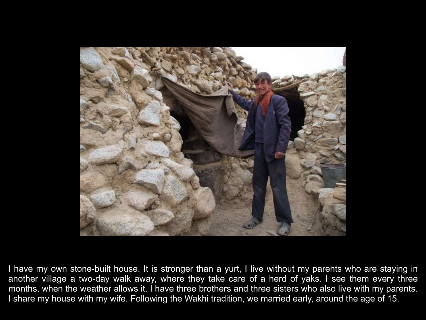

I have my own stone-built house. It is stronger than a yurt, I live without my parents who are staying in another village a two-day walk away, where they take care of a herd of yaks. I see them every three months, when the weather allows it. I have three brothers and three sisters who also live with my parents. I share my house with my wife. Following the Wakhi tradition, we married early, around the age of 15.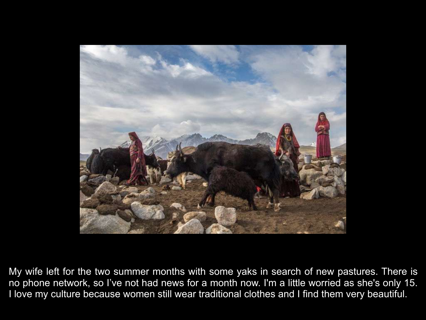

My wife left for the two summer months with some yaks in search of new pastures. There is no phone network, so I've not had news for a month now. I'm a little worried as she's only 15. I love my culture because women still wear traditional clothes and I find them very beautiful.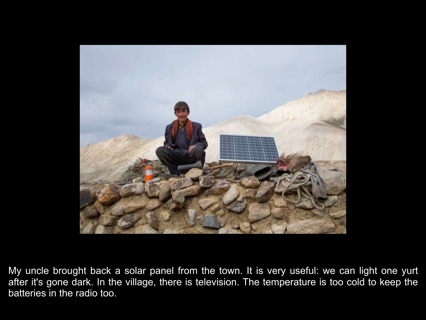

My uncle brought back a solar panel from the town. It is very useful: we can light one yurt after it's gone dark. In the village, there is television. The temperature is too cold to keep the batteries in the radio too.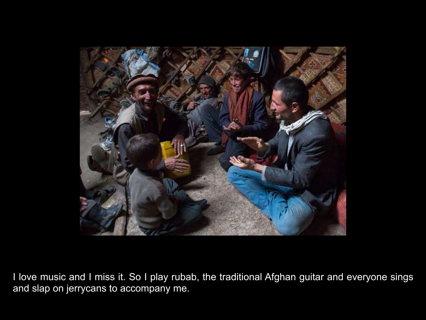

I love music and I miss it. So I play rubab, the traditional Afghan guitar and everyone sings and slap on jerrycans to accompany me.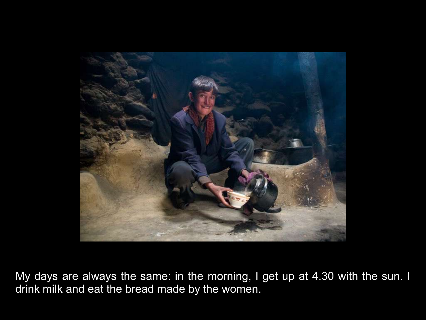

My days are always the same: in the morning, I get up at 4.30 with the sun. I drink milk and eat the bread made by the women.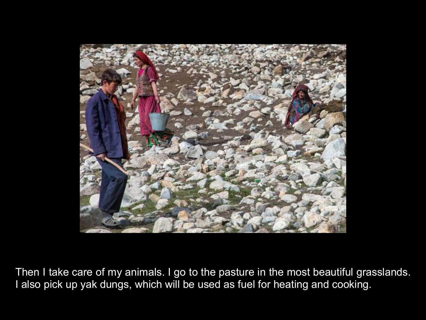

Then I take care of my animals. I go to the pasture in the most beautiful grasslands. I also pick up yak dungs, which will be used as fuel for heating and cooking.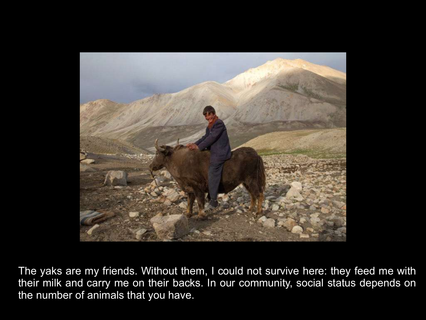

The yaks are my friends. Without them, I could not survive here: they feed me with their milk and carry me on their backs. In our community, social status depends on the number of animals that you have.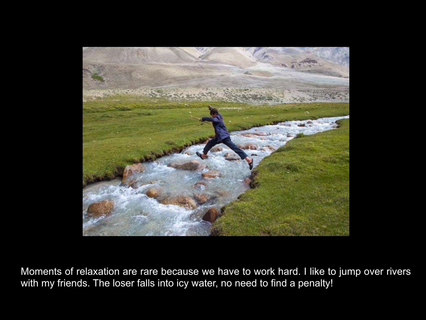

Moments of relaxation are rare because we have to work hard. I like to jump over rivers with my friends. The loser falls into icy water, no need to find a penalty!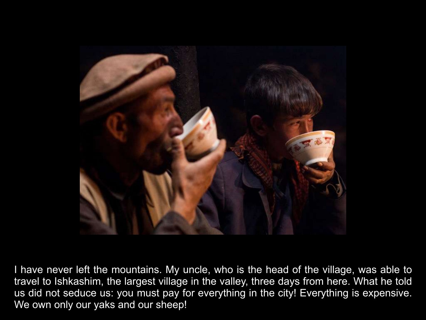

I have never left the mountains. My uncle, who is the head of the village, was able to travel to Ishkashim, the largest village in the valley, three days from here. What he told us did not seduce us: you must pay for everything in the city! Everything is expensive. We own only our yaks and our sheep!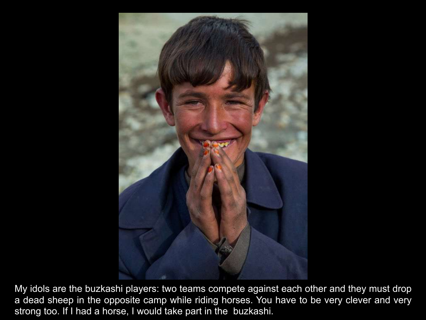

My idols are the buzkashi players: two teams compete against each other and they must drop a dead sheep in the opposite camp while riding horses. You have to be very clever and very strong too. If I had a horse, I would take part in the buzkashi.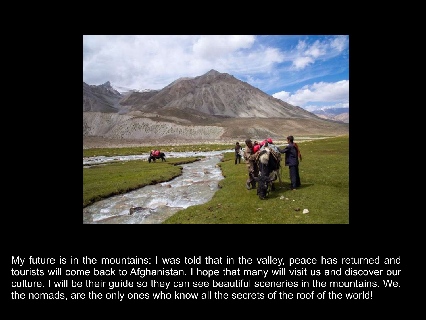

My future is in the mountains: I was told that in the valley, peace has returned and tourists will come back to Afghanistan. I hope that many will visit us and discover our culture. I will be their guide so they can see beautiful sceneries in the mountains. We, the nomads, are the only ones who know all the secrets of the roof of the world!